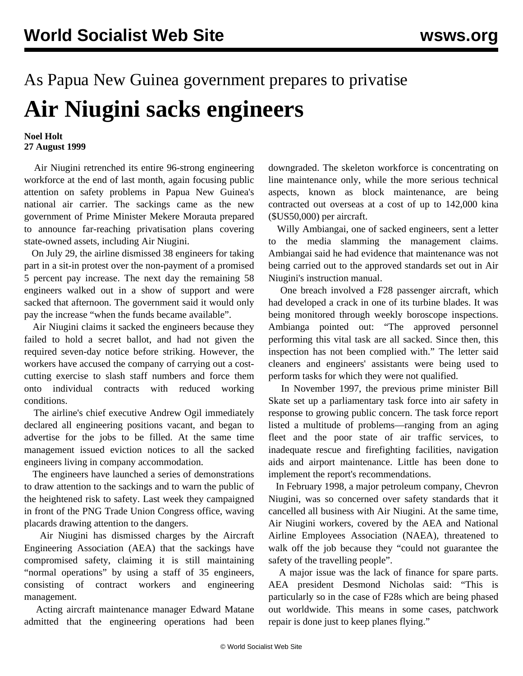## As Papua New Guinea government prepares to privatise **Air Niugini sacks engineers**

## **Noel Holt 27 August 1999**

 Air Niugini retrenched its entire 96-strong engineering workforce at the end of last month, again focusing public attention on safety problems in Papua New Guinea's national air carrier. The sackings came as the new government of Prime Minister Mekere Morauta prepared to announce far-reaching privatisation plans covering state-owned assets, including Air Niugini.

 On July 29, the airline dismissed 38 engineers for taking part in a sit-in protest over the non-payment of a promised 5 percent pay increase. The next day the remaining 58 engineers walked out in a show of support and were sacked that afternoon. The government said it would only pay the increase "when the funds became available".

 Air Niugini claims it sacked the engineers because they failed to hold a secret ballot, and had not given the required seven-day notice before striking. However, the workers have accused the company of carrying out a costcutting exercise to slash staff numbers and force them onto individual contracts with reduced working conditions.

 The airline's chief executive Andrew Ogil immediately declared all engineering positions vacant, and began to advertise for the jobs to be filled. At the same time management issued eviction notices to all the sacked engineers living in company accommodation.

 The engineers have launched a series of demonstrations to draw attention to the sackings and to warn the public of the heightened risk to safety. Last week they campaigned in front of the PNG Trade Union Congress office, waving placards drawing attention to the dangers.

 Air Niugini has dismissed charges by the Aircraft Engineering Association (AEA) that the sackings have compromised safety, claiming it is still maintaining "normal operations" by using a staff of 35 engineers, consisting of contract workers and engineering management.

 Acting aircraft maintenance manager Edward Matane admitted that the engineering operations had been downgraded. The skeleton workforce is concentrating on line maintenance only, while the more serious technical aspects, known as block maintenance, are being contracted out overseas at a cost of up to 142,000 kina (\$US50,000) per aircraft.

 Willy Ambiangai, one of sacked engineers, sent a letter to the media slamming the management claims. Ambiangai said he had evidence that maintenance was not being carried out to the approved standards set out in Air Niugini's instruction manual.

 One breach involved a F28 passenger aircraft, which had developed a crack in one of its turbine blades. It was being monitored through weekly boroscope inspections. Ambianga pointed out: "The approved personnel performing this vital task are all sacked. Since then, this inspection has not been complied with." The letter said cleaners and engineers' assistants were being used to perform tasks for which they were not qualified.

 In November 1997, the previous prime minister Bill Skate set up a parliamentary task force into air safety in response to growing public concern. The task force report listed a multitude of problems—ranging from an aging fleet and the poor state of air traffic services, to inadequate rescue and firefighting facilities, navigation aids and airport maintenance. Little has been done to implement the report's recommendations.

 In February 1998, a major petroleum company, Chevron Niugini, was so concerned over safety standards that it cancelled all business with Air Niugini. At the same time, Air Niugini workers, covered by the AEA and National Airline Employees Association (NAEA), threatened to walk off the job because they "could not guarantee the safety of the travelling people".

 A major issue was the lack of finance for spare parts. AEA president Desmond Nicholas said: "This is particularly so in the case of F28s which are being phased out worldwide. This means in some cases, patchwork repair is done just to keep planes flying."